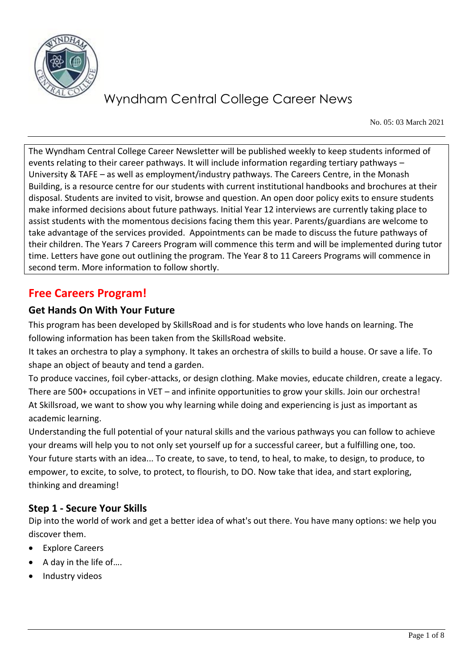

No. 05: 03 March 2021

The Wyndham Central College Career Newsletter will be published weekly to keep students informed of events relating to their career pathways. It will include information regarding tertiary pathways – University & TAFE – as well as employment/industry pathways. The Careers Centre, in the Monash Building, is a resource centre for our students with current institutional handbooks and brochures at their disposal. Students are invited to visit, browse and question. An open door policy exits to ensure students make informed decisions about future pathways. Initial Year 12 interviews are currently taking place to assist students with the momentous decisions facing them this year. Parents/guardians are welcome to take advantage of the services provided. Appointments can be made to discuss the future pathways of their children. The Years 7 Careers Program will commence this term and will be implemented during tutor time. Letters have gone out outlining the program. The Year 8 to 11 Careers Programs will commence in second term. More information to follow shortly.

### **Free Careers Program!**

### **Get Hands On With Your Future**

This program has been developed by SkillsRoad and is for students who love hands on learning. The following information has been taken from the SkillsRoad website.

It takes an orchestra to play a symphony. It takes an orchestra of skills to build a house. Or save a life. To shape an object of beauty and tend a garden.

To produce vaccines, foil cyber-attacks, or design clothing. Make movies, educate children, create a legacy. There are 500+ occupations in VET – and infinite opportunities to grow your skills. Join our orchestra! At Skillsroad, we want to show you why learning while doing and experiencing is just as important as academic learning.

Understanding the full potential of your natural skills and the various pathways you can follow to achieve your dreams will help you to not only set yourself up for a successful career, but a fulfilling one, too. Your future starts with an idea... To create, to save, to tend, to heal, to make, to design, to produce, to empower, to excite, to solve, to protect, to flourish, to DO. Now take that idea, and start exploring, thinking and dreaming!

### **Step 1 - Secure Your Skills**

Dip into the world of work and get a better idea of what's out there. You have many options: we help you discover them.

- **Explore Careers**
- A day in the life of….
- Industry videos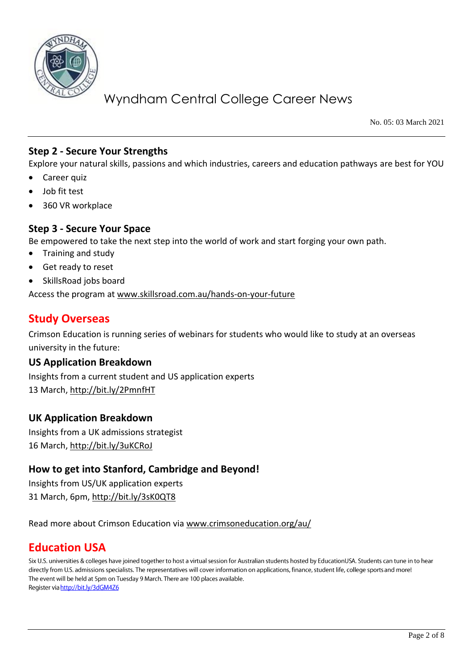

No. 05: 03 March 2021

### **Step 2 - Secure Your Strengths**

Explore your natural skills, passions and which industries, careers and education pathways are best for YOU

- Career quiz
- Job fit test
- 360 VR workplace

#### **Step 3 - Secure Your Space**

Be empowered to take the next step into the world of work and start forging your own path.

- Training and study
- Get ready to reset
- SkillsRoad jobs board

Access the program at [www.skillsroad.com.au/hands-on-your-future](http://www.skillsroad.com.au/hands-on-your-future)

### **Study Overseas**

Crimson Education is running series of webinars for students who would like to study at an overseas university in the future:

#### **US Application Breakdown**

Insights from a current student and US application experts 13 March,<http://bit.ly/2PmnfHT>

#### **UK Application Breakdown**

Insights from a UK admissions strategist 16 March,<http://bit.ly/3uKCRoJ>

### **How to get into Stanford, Cambridge and Beyond!**

Insights from US/UK application experts 31 March, 6pm,<http://bit.ly/3sK0QT8>

#### Read more about Crimson Education via [www.crimsoneducation.org/au/](http://www.crimsoneducation.org/au/)

### **Education USA**

Six U.S. universities & colleges have joined together to host a virtual session for Australian students hosted by EducationUSA. Students can tune in to hear directly from U.S. admissions specialists. The representatives will cover information on applications, finance, student life, college sports and more! The event will be held at 5pm on Tuesday 9 March. There are 100 places available. Register via http://bit.ly/3dGM4Z6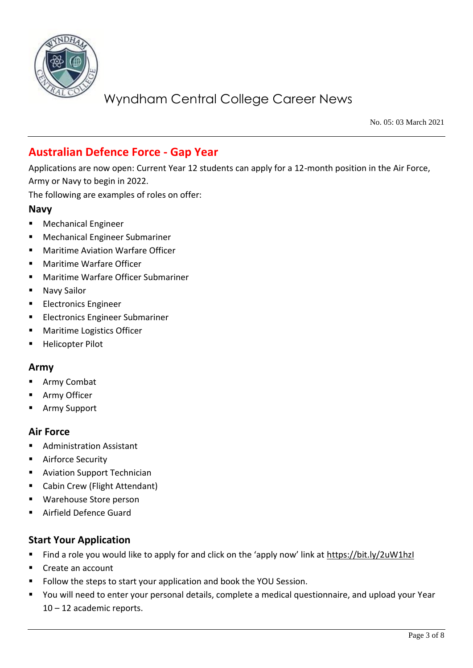

No. 05: 03 March 2021

### **Australian Defence Force - Gap Year**

Applications are now open: Current Year 12 students can apply for a 12-month position in the Air Force, Army or Navy to begin in 2022.

The following are examples of roles on offer:

#### **Navy**

- Mechanical Engineer
- **Mechanical Engineer Submariner**
- **Maritime Aviation Warfare Officer**
- **Maritime Warfare Officer**
- Maritime Warfare Officer Submariner
- Navy Sailor
- **Electronics Engineer**
- Electronics Engineer Submariner
- Maritime Logistics Officer
- **Helicopter Pilot**

#### **Army**

- Army Combat
- Army Officer
- **Army Support**

#### **Air Force**

- **Administration Assistant**
- Airforce Security
- Aviation Support Technician
- Cabin Crew (Flight Attendant)
- Warehouse Store person
- Airfield Defence Guard

#### **Start Your Application**

- Find a role you would like to apply for and click on the 'apply now' link at <https://bit.ly/2uW1hzI>
- Create an account
- Follow the steps to start your application and book the YOU Session.
- You will need to enter your personal details, complete a medical questionnaire, and upload your Year 10 – 12 academic reports.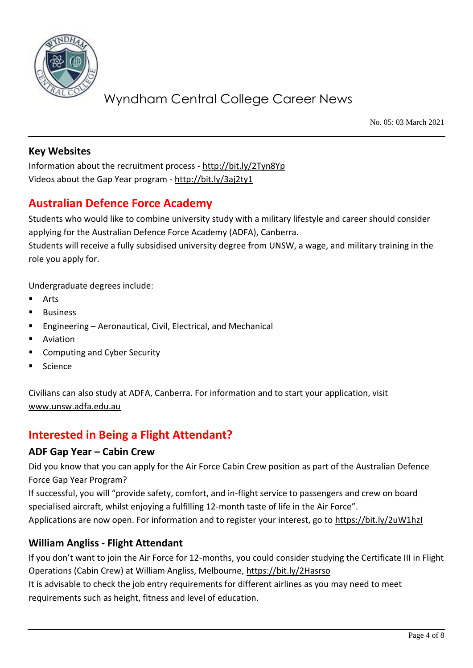

No. 05: 03 March 2021

### **Key Websites**

Information about the recruitment process - <http://bit.ly/2Tyn8Yp> Videos about the Gap Year program - <http://bit.ly/3aj2ty1>

### **Australian Defence Force Academy**

Students who would like to combine university study with a military lifestyle and career should consider applying for the Australian Defence Force Academy (ADFA), Canberra.

Students will receive a fully subsidised university degree from UNSW, a wage, and military training in the role you apply for.

Undergraduate degrees include:

- **Arts**
- **Business**
- Engineering Aeronautical, Civil, Electrical, and Mechanical
- Aviation
- **Computing and Cyber Security**
- **Science**

Civilians can also study at ADFA, Canberra. For information and to start your application, visit [www.unsw.adfa.edu.au](http://www.unsw.adfa.edu.au/)

### **Interested in Being a Flight Attendant?**

### **ADF Gap Year – Cabin Crew**

Did you know that you can apply for the Air Force Cabin Crew position as part of the Australian Defence Force Gap Year Program?

If successful, you will "provide safety, comfort, and in-flight service to passengers and crew on board specialised aircraft, whilst enjoying a fulfilling 12-month taste of life in the Air Force".

Applications are now open. For information and to register your interest, go to<https://bit.ly/2uW1hzI>

### **William Angliss - Flight Attendant**

If you don't want to join the Air Force for 12-months, you could consider studying the Certificate III in Flight Operations (Cabin Crew) at William Angliss, Melbourne,<https://bit.ly/2Hasrso>

It is advisable to check the job entry requirements for different airlines as you may need to meet requirements such as height, fitness and level of education.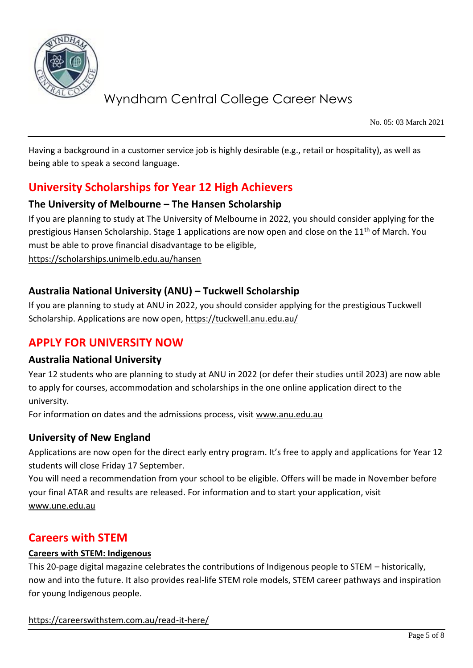

No. 05: 03 March 2021

Having a background in a customer service job is highly desirable (e.g., retail or hospitality), as well as being able to speak a second language.

### **University Scholarships for Year 12 High Achievers**

### **The University of Melbourne – The Hansen Scholarship**

If you are planning to study at The University of Melbourne in 2022, you should consider applying for the prestigious Hansen Scholarship. Stage 1 applications are now open and close on the 11<sup>th</sup> of March. You must be able to prove financial disadvantage to be eligible, <https://scholarships.unimelb.edu.au/hansen>

### **Australia National University (ANU) – Tuckwell Scholarship**

If you are planning to study at ANU in 2022, you should consider applying for the prestigious Tuckwell Scholarship. Applications are now open,<https://tuckwell.anu.edu.au/>

### **APPLY FOR UNIVERSITY NOW**

#### **Australia National University**

Year 12 students who are planning to study at ANU in 2022 (or defer their studies until 2023) are now able to apply for courses, accommodation and scholarships in the one online application direct to the university.

For information on dates and the admissions process, visit www.anu.edu.au

### **University of New England**

Applications are now open for the direct early entry program. It's free to apply and applications for Year 12 students will close Friday 17 September.

You will need a recommendation from your school to be eligible. Offers will be made in November before your final ATAR and results are released. For information and to start your application, visit [www.une.edu.au](http://www.une.edu.au/)

### **Careers with STEM**

#### **Careers with STEM: Indigenous**

This 20-page digital magazine celebrates the contributions of Indigenous people to STEM – historically, now and into the future. It also provides real-life STEM role models, STEM career pathways and inspiration for young Indigenous people.

<https://careerswithstem.com.au/read-it-here/>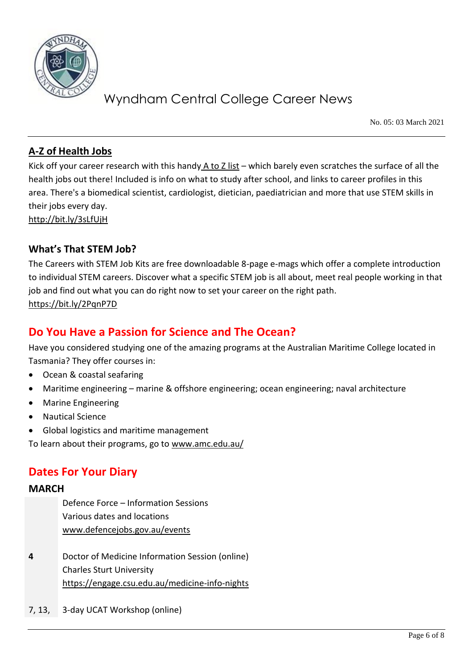

No. 05: 03 March 2021

### **[A-Z of Health Jobs](https://protect-au.mimecast.com/s/IIBJClx14Qcm4zMSGwtfAt?domain=refractionmedia.us7.list-manage.com)**

Kick off your career research with this handy  $A$  to  $Z$  list – which barely even scratches the surface of all the health jobs out there! Included is info on what to study after school, and links to career profiles in this area. There's a biomedical scientist, cardiologist, dietician, paediatrician and more that use STEM skills in their jobs every day. <http://bit.ly/3sLfUjH>

**What's That STEM Job?**

The Careers with STEM Job Kits are free downloadable 8-page e-mags which offer a complete introduction to individual STEM careers. Discover what a specific STEM job is all about, meet real people working in that job and find out what you can do right now to set your career on the right path. <https://bit.ly/2PqnP7D>

### **Do You Have a Passion for Science and The Ocean?**

Have you considered studying one of the amazing programs at the Australian Maritime College located in Tasmania? They offer courses in:

- Ocean & coastal seafaring
- Maritime engineering marine & offshore engineering; ocean engineering; naval architecture
- Marine Engineering
- Nautical Science
- Global logistics and maritime management

To learn about their programs, go to [www.amc.edu.au/](http://www.amc.edu.au/)

### **Dates For Your Diary**

#### **MARCH**

Defence Force – Information Sessions Various dates and locations [www.defencejobs.gov.au/events](http://www.defencejobs.gov.au/events)

- **4** Doctor of Medicine Information Session (online) Charles Sturt University <https://engage.csu.edu.au/medicine-info-nights>
- 7, 13, 3-day UCAT Workshop (online)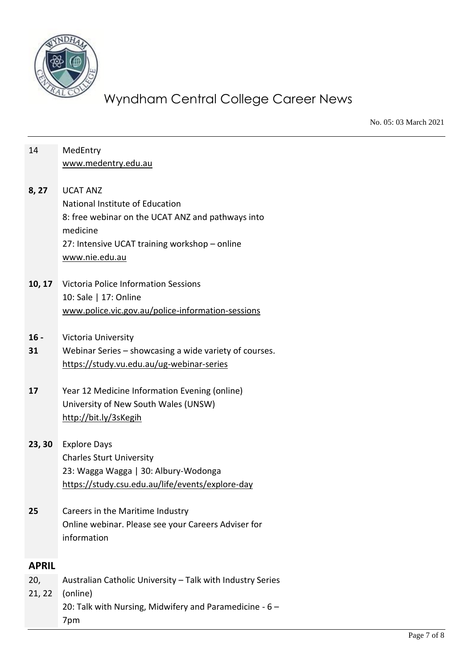

No. 05: 03 March 2021

| 14           | MedEntry<br>www.medentry.edu.au                                                                                                                                                        |
|--------------|----------------------------------------------------------------------------------------------------------------------------------------------------------------------------------------|
| 8, 27        | <b>UCAT ANZ</b><br>National Institute of Education<br>8: free webinar on the UCAT ANZ and pathways into<br>medicine<br>27: Intensive UCAT training workshop - online<br>www.nie.edu.au |
|              | 10, 17 Victoria Police Information Sessions<br>10: Sale   17: Online<br>www.police.vic.gov.au/police-information-sessions                                                              |
| $16 -$<br>31 | Victoria University<br>Webinar Series - showcasing a wide variety of courses.<br>https://study.vu.edu.au/ug-webinar-series                                                             |
| 17           | Year 12 Medicine Information Evening (online)<br>University of New South Wales (UNSW)<br>http://bit.ly/3sKegih                                                                         |
| 23, 30       | <b>Explore Days</b><br><b>Charles Sturt University</b><br>23: Wagga Wagga   30: Albury-Wodonga<br>https://study.csu.edu.au/life/events/explore-day                                     |
| 25           | Careers in the Maritime Industry<br>Online webinar. Please see your Careers Adviser for<br>information                                                                                 |
| <b>APRIL</b> |                                                                                                                                                                                        |
| 20,          | Australian Catholic University - Talk with Industry Series                                                                                                                             |
| 21, 22       | (online)<br>20: Talk with Nursing, Midwifery and Paramedicine - 6 -<br>7pm                                                                                                             |